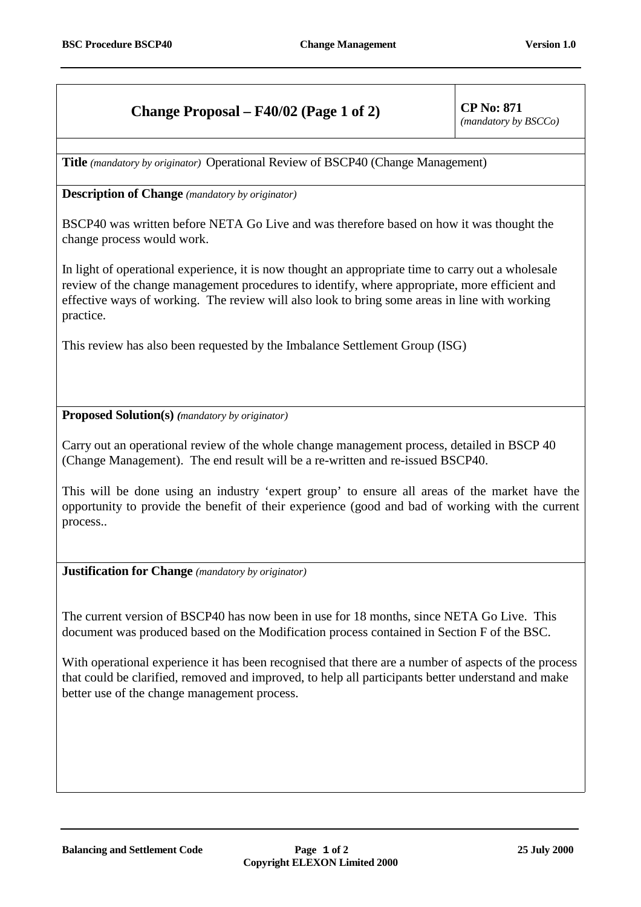## **Change Proposal – F40/02 (Page 1 of 2)** CP No: 871

*(mandatory by BSCCo)*

**Title** *(mandatory by originator)* Operational Review of BSCP40 (Change Management)

## **Description of Change** *(mandatory by originator)*

BSCP40 was written before NETA Go Live and was therefore based on how it was thought the change process would work.

In light of operational experience, it is now thought an appropriate time to carry out a wholesale review of the change management procedures to identify, where appropriate, more efficient and effective ways of working. The review will also look to bring some areas in line with working practice.

This review has also been requested by the Imbalance Settlement Group (ISG)

**Proposed Solution(s)** *(mandatory by originator)*

Carry out an operational review of the whole change management process, detailed in BSCP 40 (Change Management). The end result will be a re-written and re-issued BSCP40.

This will be done using an industry 'expert group' to ensure all areas of the market have the opportunity to provide the benefit of their experience (good and bad of working with the current process..

**Justification for Change** *(mandatory by originator)*

The current version of BSCP40 has now been in use for 18 months, since NETA Go Live. This document was produced based on the Modification process contained in Section F of the BSC.

With operational experience it has been recognised that there are a number of aspects of the process that could be clarified, removed and improved, to help all participants better understand and make better use of the change management process.